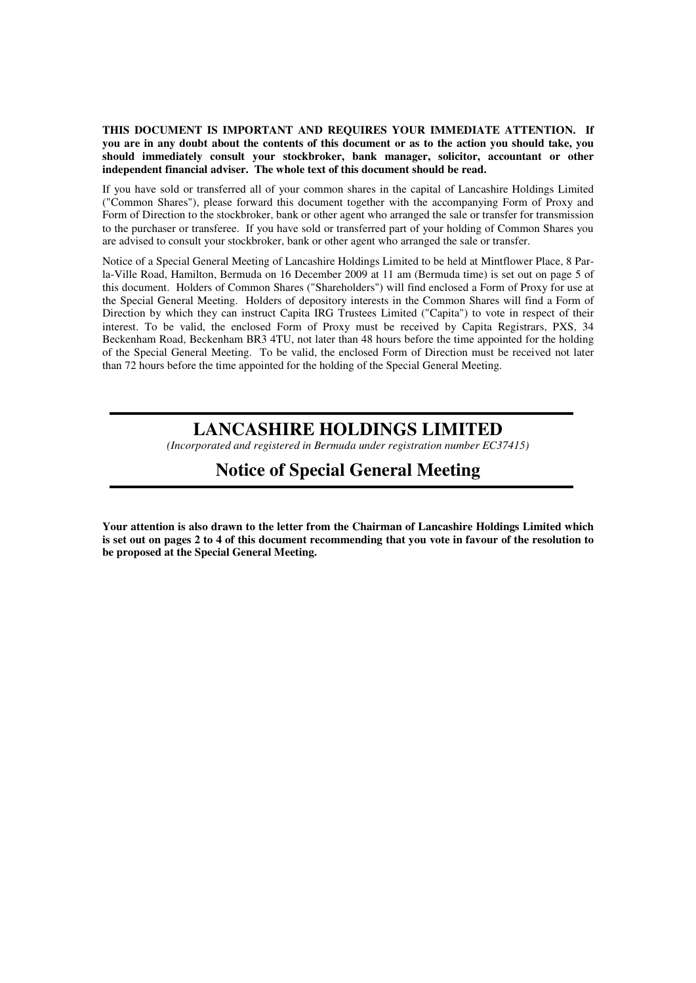**THIS DOCUMENT IS IMPORTANT AND REQUIRES YOUR IMMEDIATE ATTENTION. If you are in any doubt about the contents of this document or as to the action you should take, you should immediately consult your stockbroker, bank manager, solicitor, accountant or other independent financial adviser. The whole text of this document should be read.** 

If you have sold or transferred all of your common shares in the capital of Lancashire Holdings Limited ("Common Shares"), please forward this document together with the accompanying Form of Proxy and Form of Direction to the stockbroker, bank or other agent who arranged the sale or transfer for transmission to the purchaser or transferee. If you have sold or transferred part of your holding of Common Shares you are advised to consult your stockbroker, bank or other agent who arranged the sale or transfer.

Notice of a Special General Meeting of Lancashire Holdings Limited to be held at Mintflower Place, 8 Parla-Ville Road, Hamilton, Bermuda on 16 December 2009 at 11 am (Bermuda time) is set out on page 5 of this document. Holders of Common Shares ("Shareholders") will find enclosed a Form of Proxy for use at the Special General Meeting. Holders of depository interests in the Common Shares will find a Form of Direction by which they can instruct Capita IRG Trustees Limited ("Capita") to vote in respect of their interest. To be valid, the enclosed Form of Proxy must be received by Capita Registrars, PXS, 34 Beckenham Road, Beckenham BR3 4TU, not later than 48 hours before the time appointed for the holding of the Special General Meeting. To be valid, the enclosed Form of Direction must be received not later than 72 hours before the time appointed for the holding of the Special General Meeting.

# **LANCASHIRE HOLDINGS LIMITED**

*(Incorporated and registered in Bermuda under registration number EC37415)*

## **Notice of Special General Meeting**

**Your attention is also drawn to the letter from the Chairman of Lancashire Holdings Limited which is set out on pages 2 to 4 of this document recommending that you vote in favour of the resolution to be proposed at the Special General Meeting.**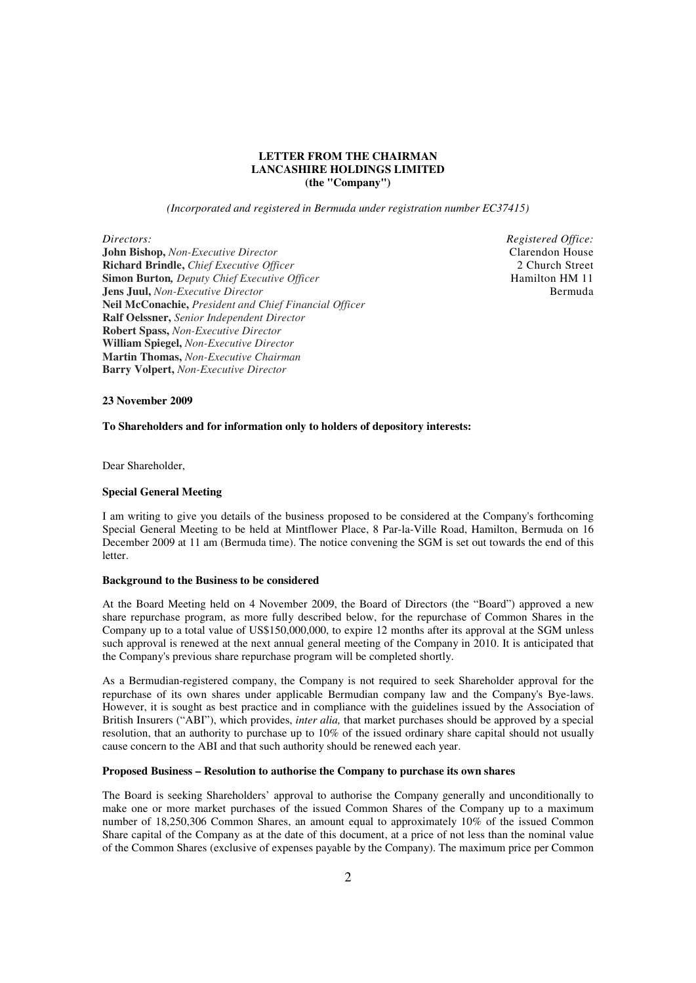## **LETTER FROM THE CHAIRMAN LANCASHIRE HOLDINGS LIMITED (the "Company")**

*(Incorporated and registered in Bermuda under registration number EC37415)* 

*Directors:* 

**John Bishop,** *Non-Executive Director* **Richard Brindle,** *Chief Executive Officer*  **Simon Burton***, Deputy Chief Executive Officer* **Jens Juul,** *Non-Executive Director*  **Neil McConachie,** *President and Chief Financial Officer*  **Ralf Oelssner,** *Senior Independent Director* **Robert Spass,** *Non-Executive Director*  **William Spiegel,** *Non-Executive Director*  **Martin Thomas,** *Non-Executive Chairman*  **Barry Volpert,** *Non-Executive Director* 

*Registered Office:* Clarendon House 2 Church Street Hamilton HM 11 Bermuda

#### **23 November 2009**

### **To Shareholders and for information only to holders of depository interests:**

Dear Shareholder,

## **Special General Meeting**

I am writing to give you details of the business proposed to be considered at the Company's forthcoming Special General Meeting to be held at Mintflower Place, 8 Par-la-Ville Road, Hamilton, Bermuda on 16 December 2009 at 11 am (Bermuda time). The notice convening the SGM is set out towards the end of this **letter** 

#### **Background to the Business to be considered**

At the Board Meeting held on 4 November 2009, the Board of Directors (the "Board") approved a new share repurchase program, as more fully described below, for the repurchase of Common Shares in the Company up to a total value of US\$150,000,000, to expire 12 months after its approval at the SGM unless such approval is renewed at the next annual general meeting of the Company in 2010. It is anticipated that the Company's previous share repurchase program will be completed shortly.

As a Bermudian-registered company, the Company is not required to seek Shareholder approval for the repurchase of its own shares under applicable Bermudian company law and the Company's Bye-laws. However, it is sought as best practice and in compliance with the guidelines issued by the Association of British Insurers ("ABI"), which provides, *inter alia,* that market purchases should be approved by a special resolution, that an authority to purchase up to 10% of the issued ordinary share capital should not usually cause concern to the ABI and that such authority should be renewed each year.

#### **Proposed Business – Resolution to authorise the Company to purchase its own shares**

The Board is seeking Shareholders' approval to authorise the Company generally and unconditionally to make one or more market purchases of the issued Common Shares of the Company up to a maximum number of 18,250,306 Common Shares, an amount equal to approximately 10% of the issued Common Share capital of the Company as at the date of this document, at a price of not less than the nominal value of the Common Shares (exclusive of expenses payable by the Company). The maximum price per Common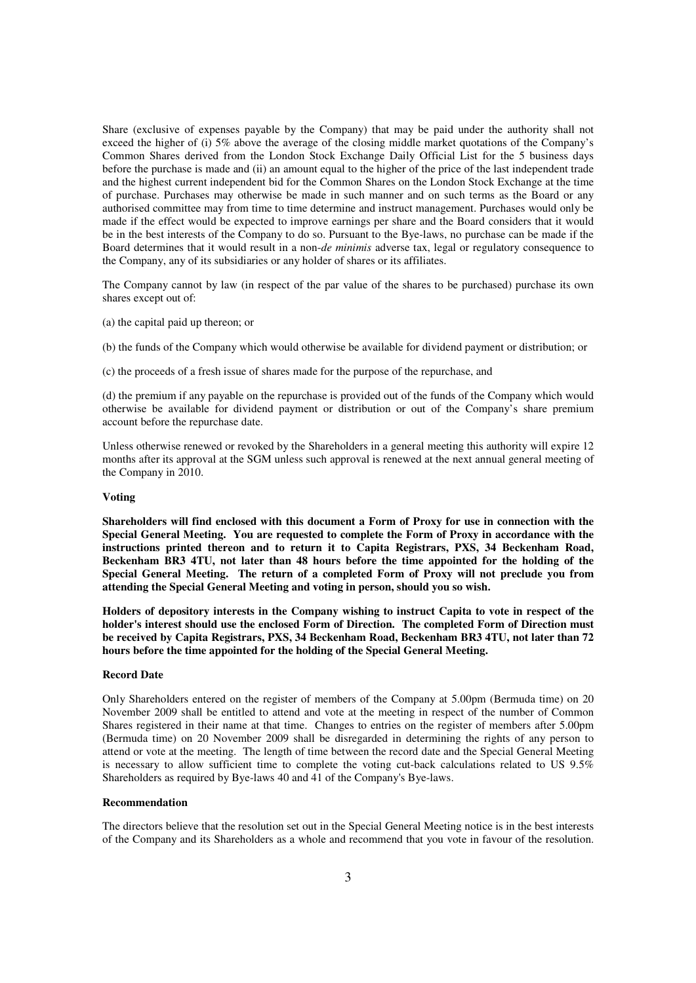Share (exclusive of expenses payable by the Company) that may be paid under the authority shall not exceed the higher of (i) 5% above the average of the closing middle market quotations of the Company's Common Shares derived from the London Stock Exchange Daily Official List for the 5 business days before the purchase is made and (ii) an amount equal to the higher of the price of the last independent trade and the highest current independent bid for the Common Shares on the London Stock Exchange at the time of purchase. Purchases may otherwise be made in such manner and on such terms as the Board or any authorised committee may from time to time determine and instruct management. Purchases would only be made if the effect would be expected to improve earnings per share and the Board considers that it would be in the best interests of the Company to do so. Pursuant to the Bye-laws, no purchase can be made if the Board determines that it would result in a non-*de minimis* adverse tax, legal or regulatory consequence to the Company, any of its subsidiaries or any holder of shares or its affiliates.

The Company cannot by law (in respect of the par value of the shares to be purchased) purchase its own shares except out of:

(a) the capital paid up thereon; or

(b) the funds of the Company which would otherwise be available for dividend payment or distribution; or

(c) the proceeds of a fresh issue of shares made for the purpose of the repurchase, and

(d) the premium if any payable on the repurchase is provided out of the funds of the Company which would otherwise be available for dividend payment or distribution or out of the Company's share premium account before the repurchase date.

Unless otherwise renewed or revoked by the Shareholders in a general meeting this authority will expire 12 months after its approval at the SGM unless such approval is renewed at the next annual general meeting of the Company in 2010.

#### **Voting**

**Shareholders will find enclosed with this document a Form of Proxy for use in connection with the Special General Meeting. You are requested to complete the Form of Proxy in accordance with the instructions printed thereon and to return it to Capita Registrars, PXS, 34 Beckenham Road, Beckenham BR3 4TU, not later than 48 hours before the time appointed for the holding of the Special General Meeting. The return of a completed Form of Proxy will not preclude you from attending the Special General Meeting and voting in person, should you so wish.** 

**Holders of depository interests in the Company wishing to instruct Capita to vote in respect of the holder's interest should use the enclosed Form of Direction. The completed Form of Direction must be received by Capita Registrars, PXS, 34 Beckenham Road, Beckenham BR3 4TU, not later than 72 hours before the time appointed for the holding of the Special General Meeting.** 

#### **Record Date**

Only Shareholders entered on the register of members of the Company at 5.00pm (Bermuda time) on 20 November 2009 shall be entitled to attend and vote at the meeting in respect of the number of Common Shares registered in their name at that time. Changes to entries on the register of members after 5.00pm (Bermuda time) on 20 November 2009 shall be disregarded in determining the rights of any person to attend or vote at the meeting. The length of time between the record date and the Special General Meeting is necessary to allow sufficient time to complete the voting cut-back calculations related to US 9.5% Shareholders as required by Bye-laws 40 and 41 of the Company's Bye-laws.

#### **Recommendation**

The directors believe that the resolution set out in the Special General Meeting notice is in the best interests of the Company and its Shareholders as a whole and recommend that you vote in favour of the resolution.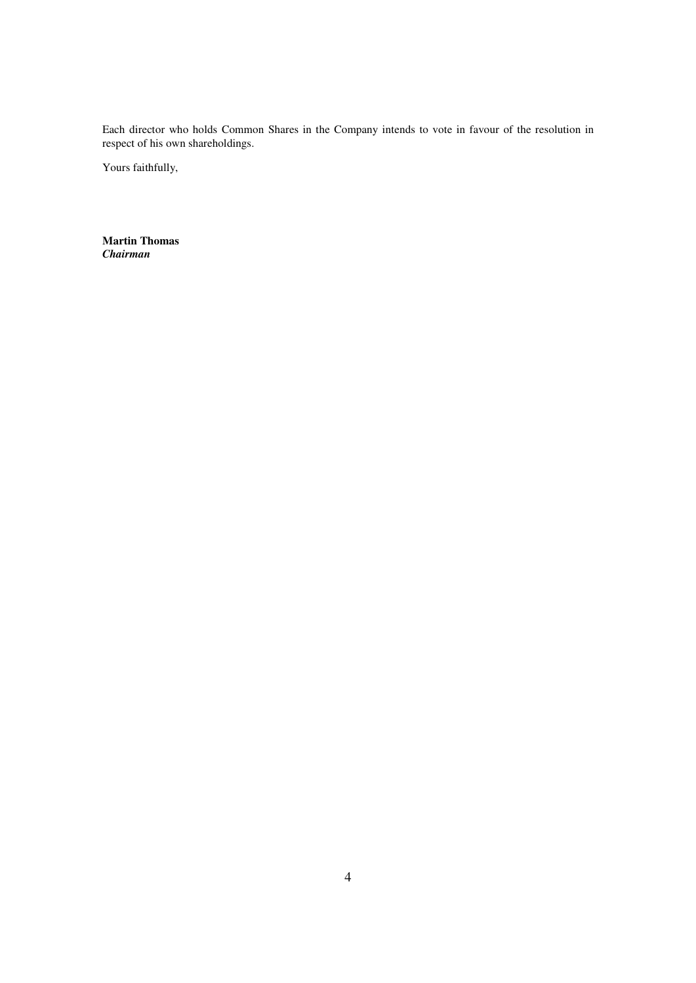Each director who holds Common Shares in the Company intends to vote in favour of the resolution in respect of his own shareholdings.

Yours faithfully,

**Martin Thomas**  *Chairman*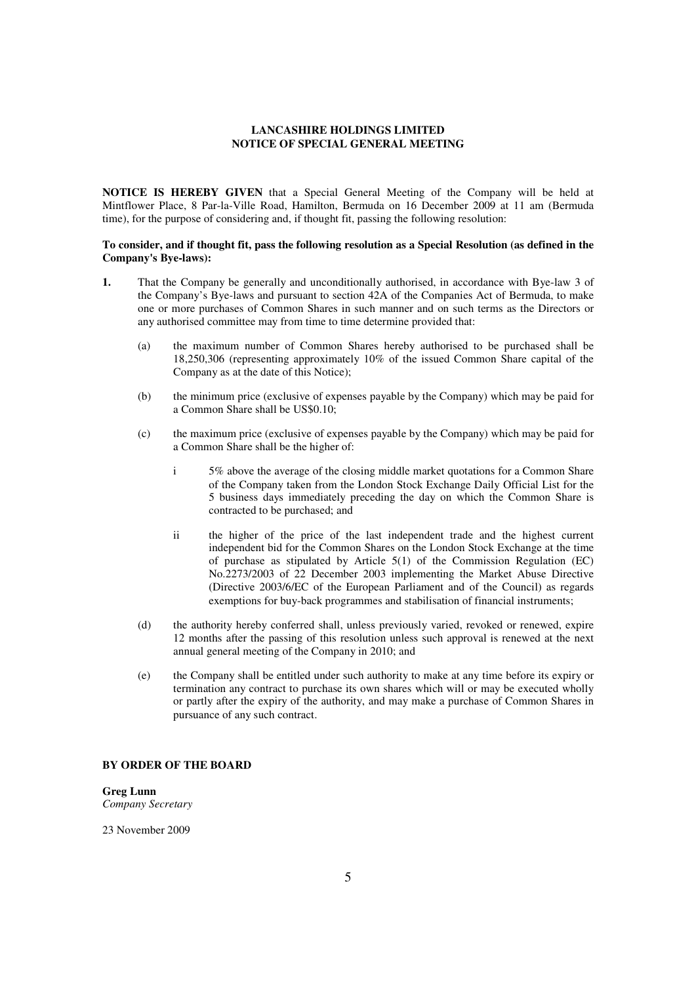## **LANCASHIRE HOLDINGS LIMITED NOTICE OF SPECIAL GENERAL MEETING**

**NOTICE IS HEREBY GIVEN** that a Special General Meeting of the Company will be held at Mintflower Place, 8 Par-la-Ville Road, Hamilton, Bermuda on 16 December 2009 at 11 am (Bermuda time), for the purpose of considering and, if thought fit, passing the following resolution:

#### **To consider, and if thought fit, pass the following resolution as a Special Resolution (as defined in the Company's Bye-laws):**

- **1.** That the Company be generally and unconditionally authorised, in accordance with Bye-law 3 of the Company's Bye-laws and pursuant to section 42A of the Companies Act of Bermuda, to make one or more purchases of Common Shares in such manner and on such terms as the Directors or any authorised committee may from time to time determine provided that:
	- (a) the maximum number of Common Shares hereby authorised to be purchased shall be 18,250,306 (representing approximately 10% of the issued Common Share capital of the Company as at the date of this Notice);
	- (b) the minimum price (exclusive of expenses payable by the Company) which may be paid for a Common Share shall be US\$0.10;
	- (c) the maximum price (exclusive of expenses payable by the Company) which may be paid for a Common Share shall be the higher of:
		- i 5% above the average of the closing middle market quotations for a Common Share of the Company taken from the London Stock Exchange Daily Official List for the 5 business days immediately preceding the day on which the Common Share is contracted to be purchased; and
		- ii the higher of the price of the last independent trade and the highest current independent bid for the Common Shares on the London Stock Exchange at the time of purchase as stipulated by Article 5(1) of the Commission Regulation (EC) No.2273/2003 of 22 December 2003 implementing the Market Abuse Directive (Directive 2003/6/EC of the European Parliament and of the Council) as regards exemptions for buy-back programmes and stabilisation of financial instruments;
	- (d) the authority hereby conferred shall, unless previously varied, revoked or renewed, expire 12 months after the passing of this resolution unless such approval is renewed at the next annual general meeting of the Company in 2010; and
	- (e) the Company shall be entitled under such authority to make at any time before its expiry or termination any contract to purchase its own shares which will or may be executed wholly or partly after the expiry of the authority, and may make a purchase of Common Shares in pursuance of any such contract.

## **BY ORDER OF THE BOARD**

**Greg Lunn**  *Company Secretary* 

23 November 2009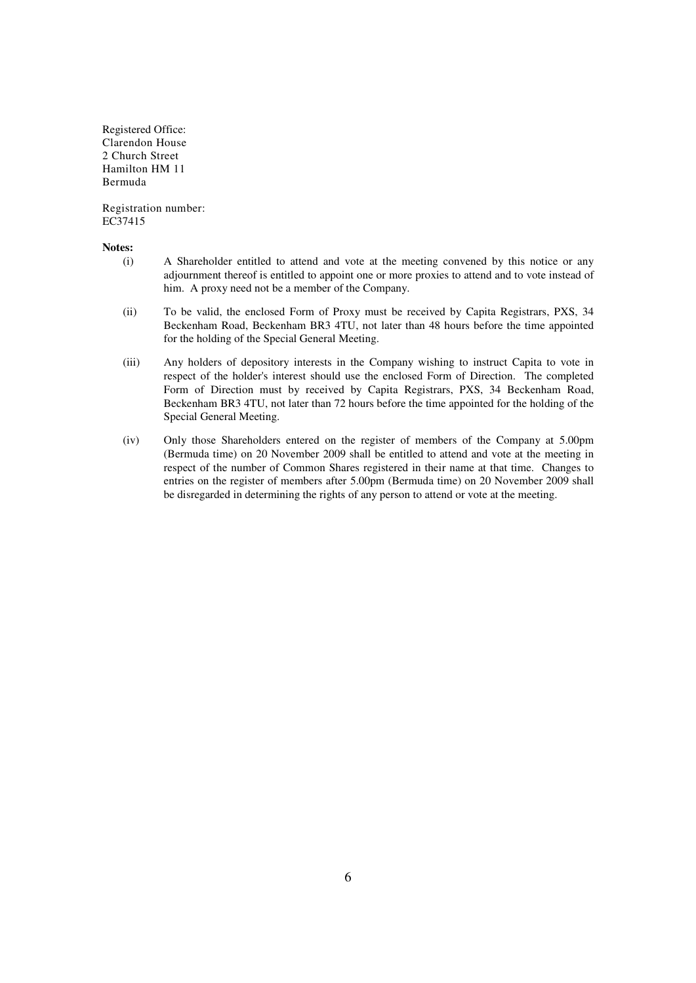Registered Office: Clarendon House 2 Church Street Hamilton HM 11 Bermuda

Registration number: EC37415

#### **Notes:**

- (i) A Shareholder entitled to attend and vote at the meeting convened by this notice or any adjournment thereof is entitled to appoint one or more proxies to attend and to vote instead of him. A proxy need not be a member of the Company.
- (ii) To be valid, the enclosed Form of Proxy must be received by Capita Registrars, PXS, 34 Beckenham Road, Beckenham BR3 4TU, not later than 48 hours before the time appointed for the holding of the Special General Meeting.
- (iii) Any holders of depository interests in the Company wishing to instruct Capita to vote in respect of the holder's interest should use the enclosed Form of Direction. The completed Form of Direction must by received by Capita Registrars, PXS, 34 Beckenham Road, Beckenham BR3 4TU, not later than 72 hours before the time appointed for the holding of the Special General Meeting.
- (iv) Only those Shareholders entered on the register of members of the Company at 5.00pm (Bermuda time) on 20 November 2009 shall be entitled to attend and vote at the meeting in respect of the number of Common Shares registered in their name at that time. Changes to entries on the register of members after 5.00pm (Bermuda time) on 20 November 2009 shall be disregarded in determining the rights of any person to attend or vote at the meeting.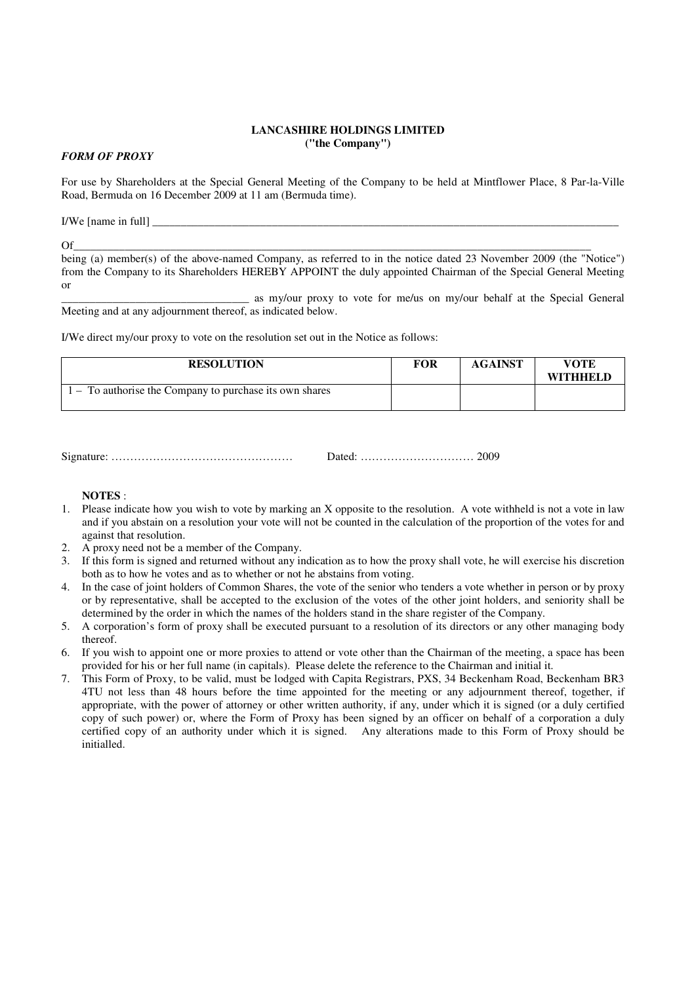## **LANCASHIRE HOLDINGS LIMITED ("the Company")**

## *FORM OF PROXY*

For use by Shareholders at the Special General Meeting of the Company to be held at Mintflower Place, 8 Par-la-Ville Road, Bermuda on 16 December 2009 at 11 am (Bermuda time).

I/We [name in full] \_\_\_\_\_\_\_\_\_\_\_\_\_\_\_\_\_\_\_\_\_\_\_\_\_\_\_\_\_\_\_\_\_\_\_\_\_\_\_\_\_\_\_\_\_\_\_\_\_\_\_\_\_\_\_\_\_\_\_\_\_\_\_\_\_\_\_\_\_\_\_\_\_\_\_\_\_\_\_\_\_\_

Of\_\_\_\_\_\_\_\_\_\_\_\_\_\_\_\_\_\_\_\_\_\_\_\_\_\_\_\_\_\_\_\_\_\_\_\_\_\_\_\_\_\_\_\_\_\_\_\_\_\_\_\_\_\_\_\_\_\_\_\_\_\_\_\_\_\_\_\_\_\_\_\_\_\_\_\_\_\_\_\_\_\_\_\_\_\_\_\_\_\_\_ being (a) member(s) of the above-named Company, as referred to in the notice dated 23 November 2009 (the "Notice") from the Company to its Shareholders HEREBY APPOINT the duly appointed Chairman of the Special General Meeting or

\_\_\_\_\_\_\_\_\_\_\_\_\_\_\_\_\_\_\_\_\_\_\_\_\_\_\_\_\_\_\_\_\_ as my/our proxy to vote for me/us on my/our behalf at the Special General Meeting and at any adjournment thereof, as indicated below.

I/We direct my/our proxy to vote on the resolution set out in the Notice as follows:

| <b>RESOLUTION</b>                                       | FOR | <b>AGAINST</b> | VOTE<br><b>WITHHELD</b> |
|---------------------------------------------------------|-----|----------------|-------------------------|
| 1 – To authorise the Company to purchase its own shares |     |                |                         |

Signature: ………………………………………… Dated: ………………………… 2009

#### **NOTES** :

- 1. Please indicate how you wish to vote by marking an X opposite to the resolution. A vote withheld is not a vote in law and if you abstain on a resolution your vote will not be counted in the calculation of the proportion of the votes for and against that resolution.
- 2. A proxy need not be a member of the Company.
- 3. If this form is signed and returned without any indication as to how the proxy shall vote, he will exercise his discretion both as to how he votes and as to whether or not he abstains from voting.
- 4. In the case of joint holders of Common Shares, the vote of the senior who tenders a vote whether in person or by proxy or by representative, shall be accepted to the exclusion of the votes of the other joint holders, and seniority shall be determined by the order in which the names of the holders stand in the share register of the Company.
- 5. A corporation's form of proxy shall be executed pursuant to a resolution of its directors or any other managing body thereof.
- 6. If you wish to appoint one or more proxies to attend or vote other than the Chairman of the meeting, a space has been provided for his or her full name (in capitals). Please delete the reference to the Chairman and initial it.
- 7. This Form of Proxy, to be valid, must be lodged with Capita Registrars, PXS, 34 Beckenham Road, Beckenham BR3 4TU not less than 48 hours before the time appointed for the meeting or any adjournment thereof, together, if appropriate, with the power of attorney or other written authority, if any, under which it is signed (or a duly certified copy of such power) or, where the Form of Proxy has been signed by an officer on behalf of a corporation a duly certified copy of an authority under which it is signed. Any alterations made to this Form of Proxy should be initialled.